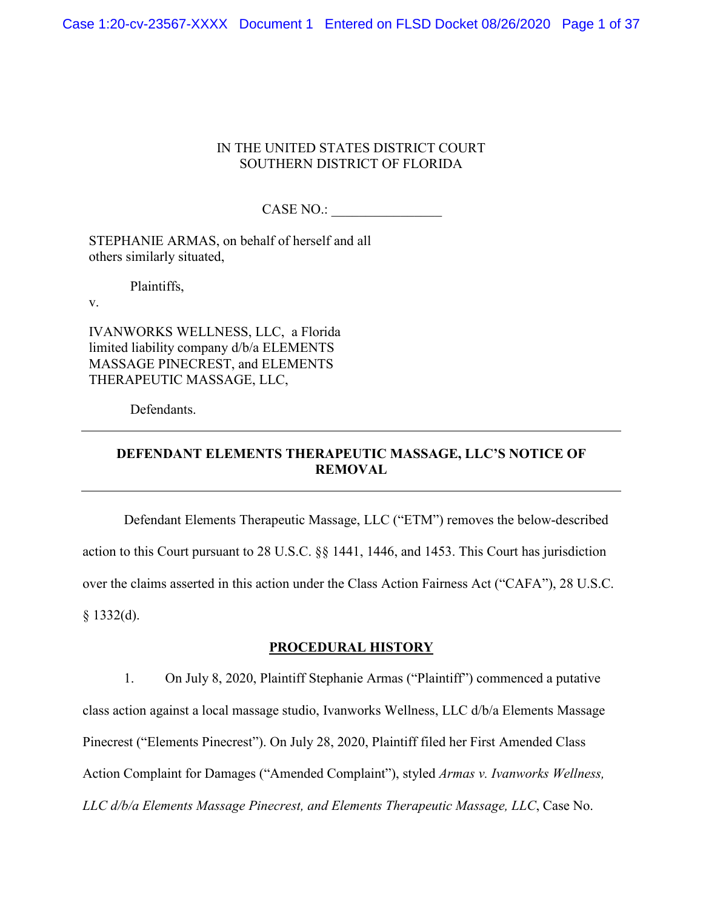Case 1:20-cv-23567-XXXX Document 1 Entered on FLSD Docket 08/26/2020 Page 1 of 37

#### IN THE UNITED STATES DISTRICT COURT SOUTHERN DISTRICT OF FLORIDA

CASE NO.:

STEPHANIE ARMAS, on behalf of herself and all others similarly situated,

Plaintiffs,

v.

IVANWORKS WELLNESS, LLC, a Florida limited liability company d/b/a ELEMENTS MASSAGE PINECREST, and ELEMENTS THERAPEUTIC MASSAGE, LLC,

Defendants.

## **DEFENDANT ELEMENTS THERAPEUTIC MASSAGE, LLC'S NOTICE OF REMOVAL**

Defendant Elements Therapeutic Massage, LLC ("ETM") removes the below-described action to this Court pursuant to 28 U.S.C. §§ 1441, 1446, and 1453. This Court has jurisdiction over the claims asserted in this action under the Class Action Fairness Act ("CAFA"), 28 U.S.C.  $§$  1332(d).

#### **PROCEDURAL HISTORY**

1. On July 8, 2020, Plaintiff Stephanie Armas ("Plaintiff") commenced a putative class action against a local massage studio, Ivanworks Wellness, LLC d/b/a Elements Massage Pinecrest ("Elements Pinecrest"). On July 28, 2020, Plaintiff filed her First Amended Class Action Complaint for Damages ("Amended Complaint"), styled *Armas v. Ivanworks Wellness, LLC d/b/a Elements Massage Pinecrest, and Elements Therapeutic Massage, LLC*, Case No.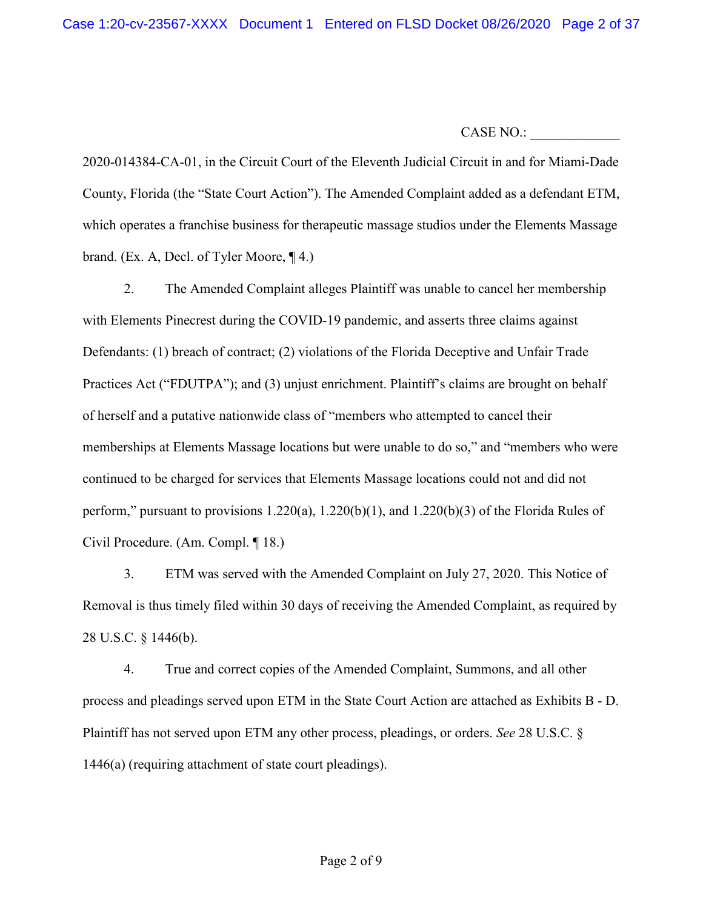2020-014384-CA-01, in the Circuit Court of the Eleventh Judicial Circuit in and for Miami-Dade County, Florida (the "State Court Action"). The Amended Complaint added as a defendant ETM, which operates a franchise business for therapeutic massage studios under the Elements Massage brand. (Ex. A, Decl. of Tyler Moore, ¶ 4.)

2. The Amended Complaint alleges Plaintiff was unable to cancel her membership with Elements Pinecrest during the COVID-19 pandemic, and asserts three claims against Defendants: (1) breach of contract; (2) violations of the Florida Deceptive and Unfair Trade Practices Act ("FDUTPA"); and (3) unjust enrichment. Plaintiff's claims are brought on behalf of herself and a putative nationwide class of "members who attempted to cancel their memberships at Elements Massage locations but were unable to do so," and "members who were continued to be charged for services that Elements Massage locations could not and did not perform," pursuant to provisions 1.220(a), 1.220(b)(1), and 1.220(b)(3) of the Florida Rules of Civil Procedure. (Am. Compl. ¶ 18.)

3. ETM was served with the Amended Complaint on July 27, 2020. This Notice of Removal is thus timely filed within 30 days of receiving the Amended Complaint, as required by 28 U.S.C. § 1446(b).

4. True and correct copies of the Amended Complaint, Summons, and all other process and pleadings served upon ETM in the State Court Action are attached as Exhibits B - D. Plaintiff has not served upon ETM any other process, pleadings, or orders. *See* 28 U.S.C. § 1446(a) (requiring attachment of state court pleadings).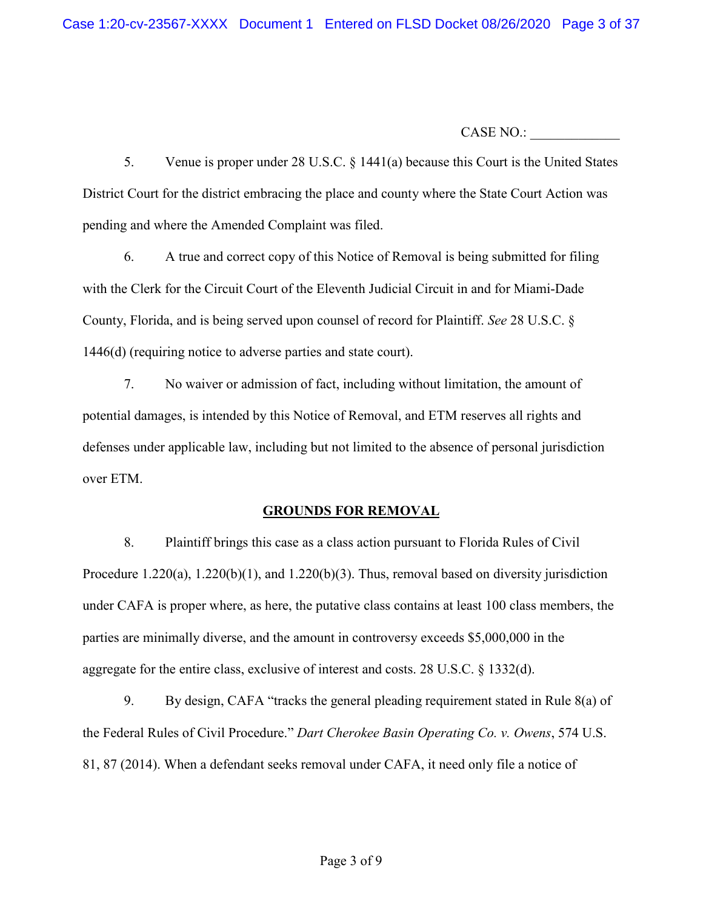5. Venue is proper under 28 U.S.C. § 1441(a) because this Court is the United States District Court for the district embracing the place and county where the State Court Action was pending and where the Amended Complaint was filed.

6. A true and correct copy of this Notice of Removal is being submitted for filing with the Clerk for the Circuit Court of the Eleventh Judicial Circuit in and for Miami-Dade County, Florida, and is being served upon counsel of record for Plaintiff. *See* 28 U.S.C. § 1446(d) (requiring notice to adverse parties and state court).

7. No waiver or admission of fact, including without limitation, the amount of potential damages, is intended by this Notice of Removal, and ETM reserves all rights and defenses under applicable law, including but not limited to the absence of personal jurisdiction over ETM.

#### **GROUNDS FOR REMOVAL**

8. Plaintiff brings this case as a class action pursuant to Florida Rules of Civil Procedure 1.220(a), 1.220(b)(1), and 1.220(b)(3). Thus, removal based on diversity jurisdiction under CAFA is proper where, as here, the putative class contains at least 100 class members, the parties are minimally diverse, and the amount in controversy exceeds \$5,000,000 in the aggregate for the entire class, exclusive of interest and costs. 28 U.S.C.  $\S$  1332(d).

9. By design, CAFA "tracks the general pleading requirement stated in Rule 8(a) of the Federal Rules of Civil Procedure." *Dart Cherokee Basin Operating Co. v. Owens*, 574 U.S. 81, 87 (2014). When a defendant seeks removal under CAFA, it need only file a notice of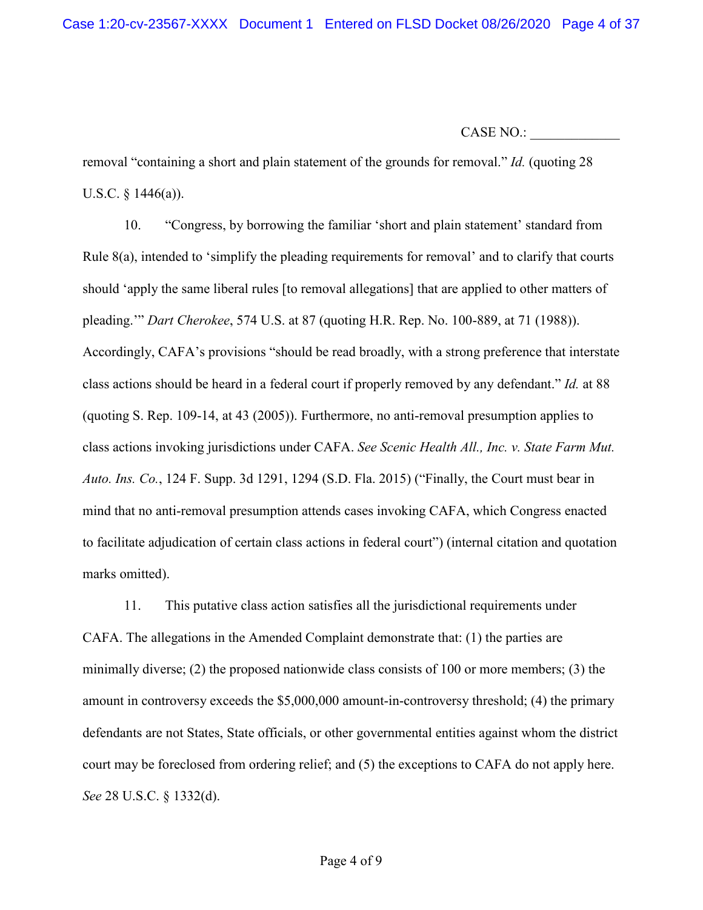removal "containing a short and plain statement of the grounds for removal." *Id.* (quoting 28 U.S.C.  $\S$  1446(a)).

10. "Congress, by borrowing the familiar 'short and plain statement' standard from Rule 8(a), intended to 'simplify the pleading requirements for removal' and to clarify that courts should 'apply the same liberal rules [to removal allegations] that are applied to other matters of pleading.'" *Dart Cherokee*, 574 U.S. at 87 (quoting H.R. Rep. No. 100-889, at 71 (1988)). Accordingly, CAFA's provisions "should be read broadly, with a strong preference that interstate class actions should be heard in a federal court if properly removed by any defendant." *Id.* at 88 (quoting S. Rep. 109-14, at 43 (2005)). Furthermore, no anti-removal presumption applies to class actions invoking jurisdictions under CAFA. *See Scenic Health All., Inc. v. State Farm Mut. Auto. Ins. Co.*, 124 F. Supp. 3d 1291, 1294 (S.D. Fla. 2015) ("Finally, the Court must bear in mind that no anti-removal presumption attends cases invoking CAFA, which Congress enacted to facilitate adjudication of certain class actions in federal court") (internal citation and quotation marks omitted).

11. This putative class action satisfies all the jurisdictional requirements under CAFA. The allegations in the Amended Complaint demonstrate that: (1) the parties are minimally diverse; (2) the proposed nationwide class consists of 100 or more members; (3) the amount in controversy exceeds the \$5,000,000 amount-in-controversy threshold; (4) the primary defendants are not States, State officials, or other governmental entities against whom the district court may be foreclosed from ordering relief; and (5) the exceptions to CAFA do not apply here. *See* 28 U.S.C. § 1332(d).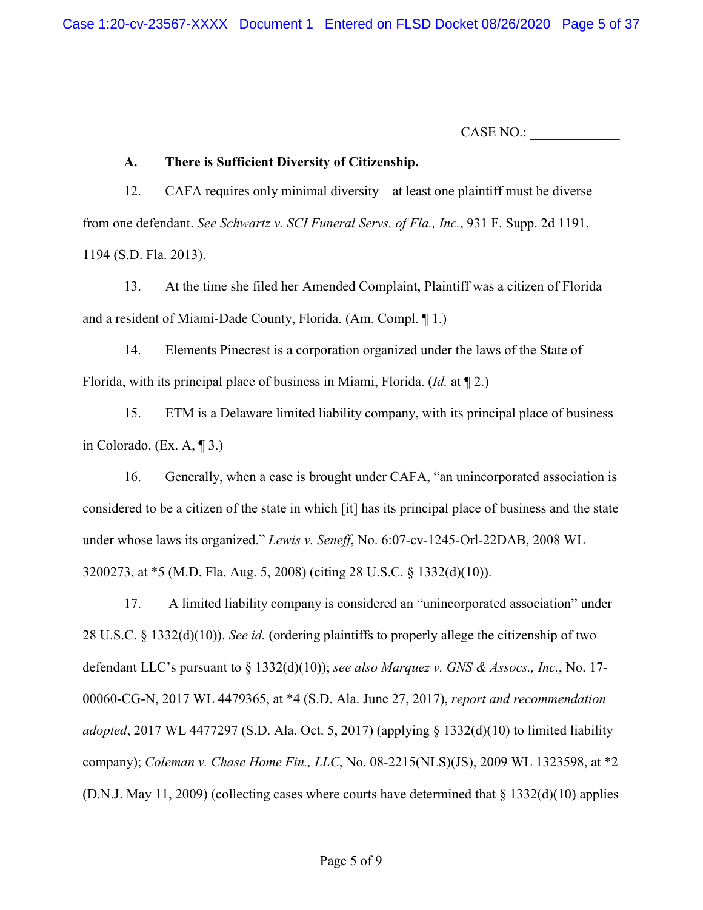CASE NO.: \_\_\_\_\_\_\_\_\_\_\_\_\_

#### **A. There is Sufficient Diversity of Citizenship.**

12. CAFA requires only minimal diversity—at least one plaintiff must be diverse from one defendant. *See Schwartz v. SCI Funeral Servs. of Fla., Inc.*, 931 F. Supp. 2d 1191, 1194 (S.D. Fla. 2013).

13. At the time she filed her Amended Complaint, Plaintiff was a citizen of Florida and a resident of Miami-Dade County, Florida. (Am. Compl. ¶ 1.)

14. Elements Pinecrest is a corporation organized under the laws of the State of Florida, with its principal place of business in Miami, Florida. (*Id.* at ¶ 2.)

15. ETM is a Delaware limited liability company, with its principal place of business in Colorado. (Ex. A, ¶ 3.)

16. Generally, when a case is brought under CAFA, "an unincorporated association is considered to be a citizen of the state in which [it] has its principal place of business and the state under whose laws its organized." *Lewis v. Seneff*, No. 6:07-cv-1245-Orl-22DAB, 2008 WL 3200273, at \*5 (M.D. Fla. Aug. 5, 2008) (citing 28 U.S.C. § 1332(d)(10)).

17. A limited liability company is considered an "unincorporated association" under 28 U.S.C. § 1332(d)(10)). *See id.* (ordering plaintiffs to properly allege the citizenship of two defendant LLC's pursuant to § 1332(d)(10)); *see also Marquez v. GNS & Assocs., Inc.*, No. 17- 00060-CG-N, 2017 WL 4479365, at \*4 (S.D. Ala. June 27, 2017), *report and recommendation adopted*, 2017 WL 4477297 (S.D. Ala. Oct. 5, 2017) (applying § 1332(d)(10) to limited liability company); *Coleman v. Chase Home Fin., LLC*, No. 08-2215(NLS)(JS), 2009 WL 1323598, at \*2 (D.N.J. May 11, 2009) (collecting cases where courts have determined that § 1332(d)(10) applies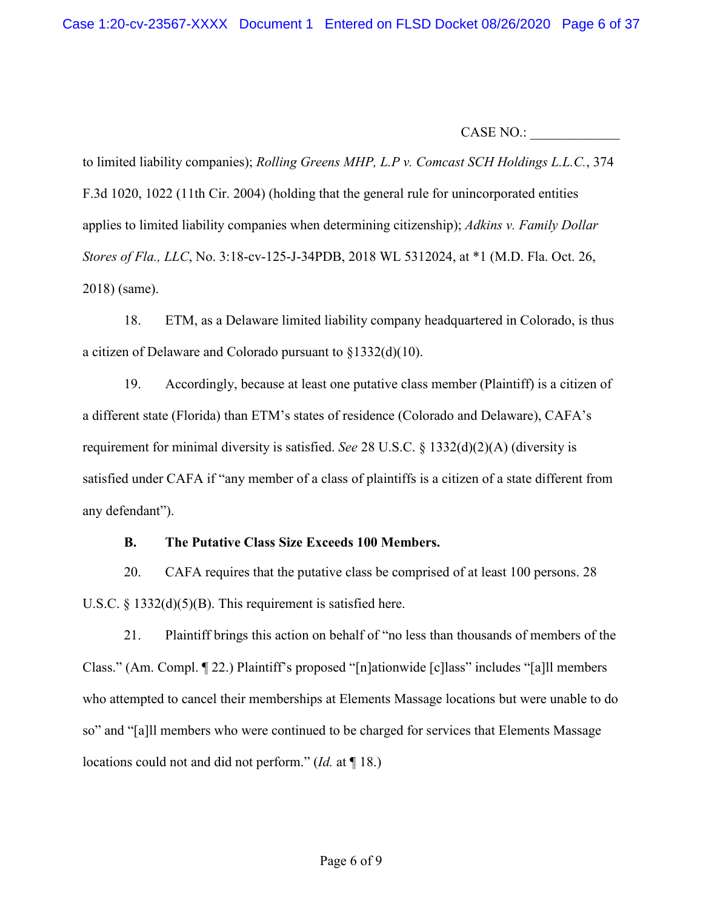to limited liability companies); *Rolling Greens MHP, L.P v. Comcast SCH Holdings L.L.C.*, 374 F.3d 1020, 1022 (11th Cir. 2004) (holding that the general rule for unincorporated entities applies to limited liability companies when determining citizenship); *Adkins v. Family Dollar Stores of Fla., LLC*, No. 3:18-cv-125-J-34PDB, 2018 WL 5312024, at \*1 (M.D. Fla. Oct. 26, 2018) (same).

18. ETM, as a Delaware limited liability company headquartered in Colorado, is thus a citizen of Delaware and Colorado pursuant to §1332(d)(10).

19. Accordingly, because at least one putative class member (Plaintiff) is a citizen of a different state (Florida) than ETM's states of residence (Colorado and Delaware), CAFA's requirement for minimal diversity is satisfied. *See* 28 U.S.C. § 1332(d)(2)(A) (diversity is satisfied under CAFA if "any member of a class of plaintiffs is a citizen of a state different from any defendant").

#### **B. The Putative Class Size Exceeds 100 Members.**

20. CAFA requires that the putative class be comprised of at least 100 persons. 28 U.S.C.  $\S$  1332(d)(5)(B). This requirement is satisfied here.

21. Plaintiff brings this action on behalf of "no less than thousands of members of the Class." (Am. Compl. ¶ 22.) Plaintiff's proposed "[n]ationwide [c]lass" includes "[a]ll members who attempted to cancel their memberships at Elements Massage locations but were unable to do so" and "[a]ll members who were continued to be charged for services that Elements Massage locations could not and did not perform." (*Id.* at ¶ 18.)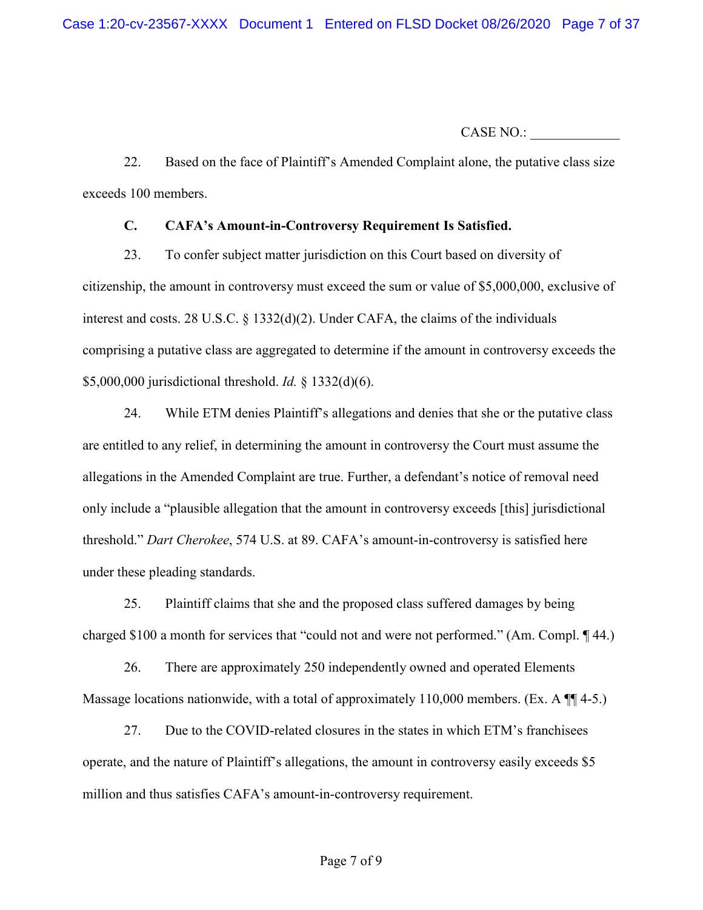22. Based on the face of Plaintiff's Amended Complaint alone, the putative class size exceeds 100 members.

## **C. CAFA's Amount-in-Controversy Requirement Is Satisfied.**

23. To confer subject matter jurisdiction on this Court based on diversity of citizenship, the amount in controversy must exceed the sum or value of \$5,000,000, exclusive of interest and costs. 28 U.S.C.  $\S$  1332(d)(2). Under CAFA, the claims of the individuals comprising a putative class are aggregated to determine if the amount in controversy exceeds the \$5,000,000 jurisdictional threshold. *Id.* § 1332(d)(6).

24. While ETM denies Plaintiff's allegations and denies that she or the putative class are entitled to any relief, in determining the amount in controversy the Court must assume the allegations in the Amended Complaint are true. Further, a defendant's notice of removal need only include a "plausible allegation that the amount in controversy exceeds [this] jurisdictional threshold." *Dart Cherokee*, 574 U.S. at 89. CAFA's amount-in-controversy is satisfied here under these pleading standards.

25. Plaintiff claims that she and the proposed class suffered damages by being charged \$100 a month for services that "could not and were not performed." (Am. Compl. ¶ 44.)

26. There are approximately 250 independently owned and operated Elements Massage locations nationwide, with a total of approximately 110,000 members. (Ex. A  $\P$  4-5.)

27. Due to the COVID-related closures in the states in which ETM's franchisees operate, and the nature of Plaintiff's allegations, the amount in controversy easily exceeds \$5 million and thus satisfies CAFA's amount-in-controversy requirement.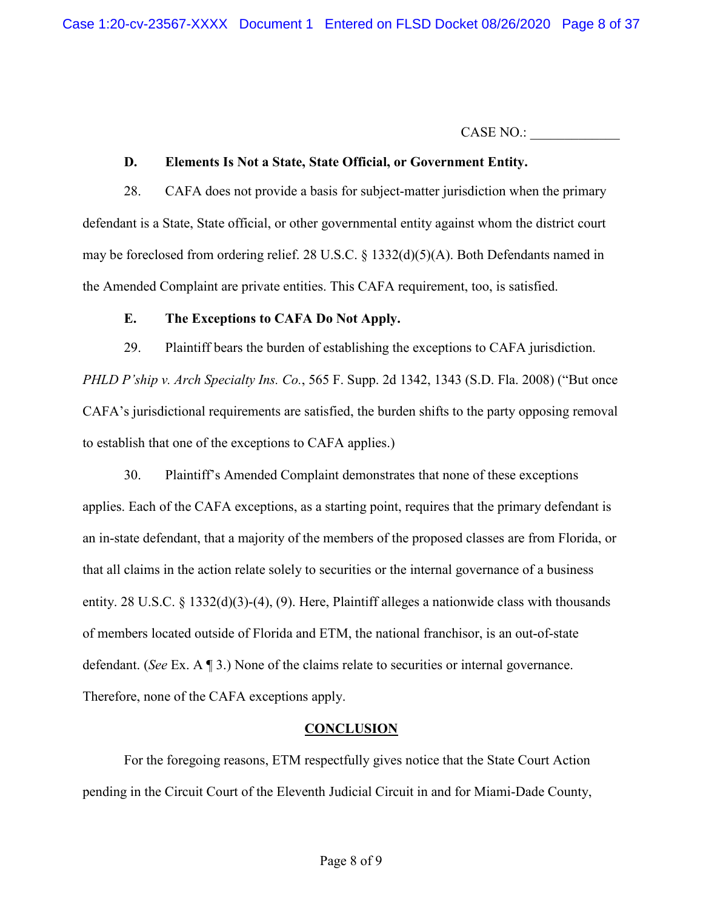| CASE NO.: |
|-----------|
|-----------|

#### **D. Elements Is Not a State, State Official, or Government Entity.**

28. CAFA does not provide a basis for subject-matter jurisdiction when the primary defendant is a State, State official, or other governmental entity against whom the district court may be foreclosed from ordering relief. 28 U.S.C. § 1332(d)(5)(A). Both Defendants named in the Amended Complaint are private entities. This CAFA requirement, too, is satisfied.

## **E. The Exceptions to CAFA Do Not Apply.**

29. Plaintiff bears the burden of establishing the exceptions to CAFA jurisdiction.

*PHLD P'ship v. Arch Specialty Ins. Co.*, 565 F. Supp. 2d 1342, 1343 (S.D. Fla. 2008) ("But once CAFA's jurisdictional requirements are satisfied, the burden shifts to the party opposing removal to establish that one of the exceptions to CAFA applies.)

30. Plaintiff's Amended Complaint demonstrates that none of these exceptions applies. Each of the CAFA exceptions, as a starting point, requires that the primary defendant is an in-state defendant, that a majority of the members of the proposed classes are from Florida, or that all claims in the action relate solely to securities or the internal governance of a business entity. 28 U.S.C. § 1332(d)(3)-(4), (9). Here, Plaintiff alleges a nationwide class with thousands of members located outside of Florida and ETM, the national franchisor, is an out-of-state defendant. (*See* Ex. A ¶ 3.) None of the claims relate to securities or internal governance. Therefore, none of the CAFA exceptions apply.

## **CONCLUSION**

For the foregoing reasons, ETM respectfully gives notice that the State Court Action pending in the Circuit Court of the Eleventh Judicial Circuit in and for Miami-Dade County,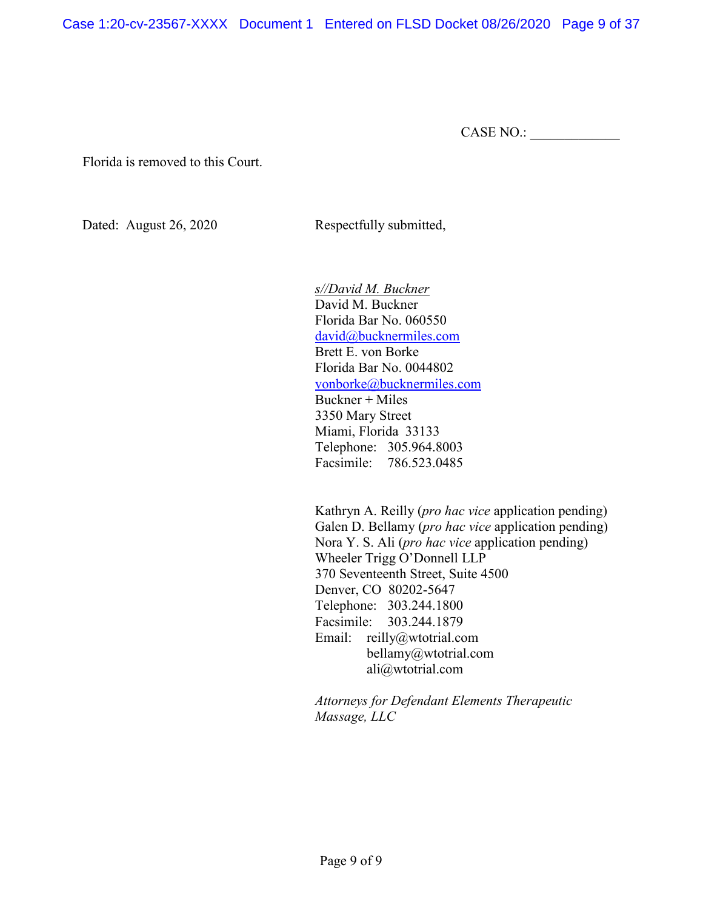Case 1:20-cv-23567-XXXX Document 1 Entered on FLSD Docket 08/26/2020 Page 9 of 37

| CASE NO.: |  |
|-----------|--|
|           |  |

Florida is removed to this Court.

Dated: August 26, 2020 Respectfully submitted,

*s//David M. Buckner*  David M. Buckner Florida Bar No. 060550 [david@bucknermiles.com](mailto:david@bucknermiles.com) Brett E. von Borke Florida Bar No. 0044802 [vonborke@bucknermiles.com](mailto:vonborke@bucknermiles.com) Buckner + Miles 3350 Mary Street Miami, Florida 33133 Telephone: 305.964.8003 Facsimile: 786.523.0485

 Kathryn A. Reilly (*pro hac vice* application pending) Galen D. Bellamy (*pro hac vice* application pending) Nora Y. S. Ali (*pro hac vice* application pending) Wheeler Trigg O'Donnell LLP 370 Seventeenth Street, Suite 4500 Denver, CO 80202-5647 Telephone: 303.244.1800 Facsimile: 303.244.1879 Email: reilly@wtotrial.com bellamy@wtotrial.com ali@wtotrial.com

*Attorneys for Defendant Elements Therapeutic Massage, LLC*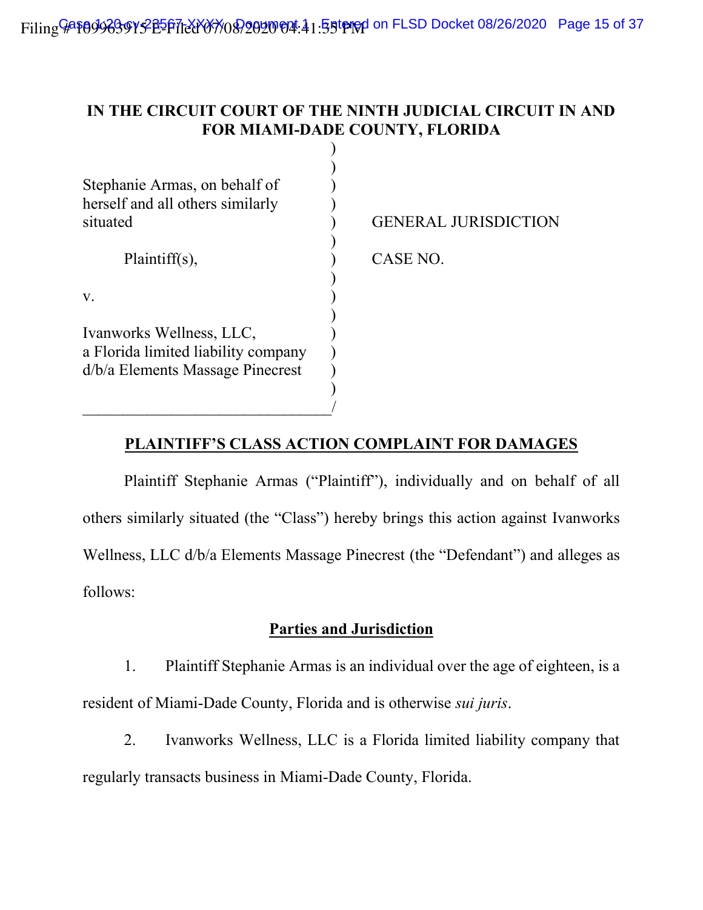# **IN THE CIRCUIT COURT OF THE NINTH JUDICIAL CIRCUIT IN AND FOR MIAMI-DADE COUNTY, FLORIDA**

| Stephanie Armas, on behalf of<br>herself and all others similarly<br>situated                             | <b>GENERAL JURISDICTION</b> |
|-----------------------------------------------------------------------------------------------------------|-----------------------------|
| $Plaintiff(s)$ ,                                                                                          | CASE NO.                    |
| V.<br>Ivanworks Wellness, LLC,<br>a Florida limited liability company<br>d/b/a Elements Massage Pinecrest |                             |

# **PLAINTIFF'S CLASS ACTION COMPLAINT FOR DAMAGES**

Plaintiff Stephanie Armas ("Plaintiff"), individually and on behalf of all others similarly situated (the "Class") hereby brings this action against Ivanworks Wellness, LLC d/b/a Elements Massage Pinecrest (the "Defendant") and alleges as follows:

# **Parties and Jurisdiction**

1. Plaintiff Stephanie Armas is an individual over the age of eighteen, is a resident of Miami-Dade County, Florida and is otherwise *sui juris*.

2. Ivanworks Wellness, LLC is a Florida limited liability company that regularly transacts business in Miami-Dade County, Florida.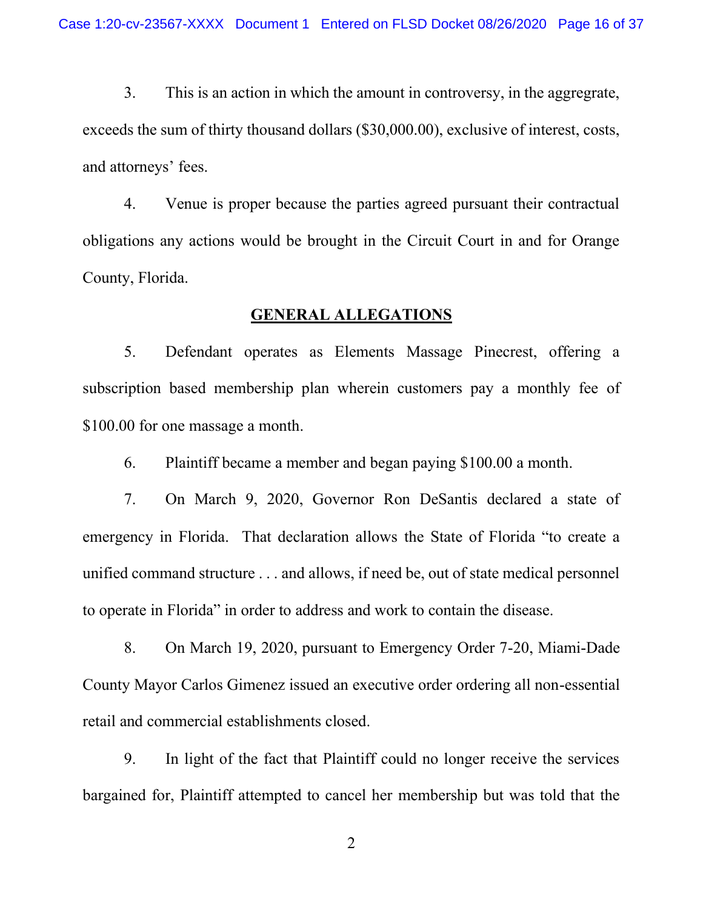3. This is an action in which the amount in controversy, in the aggregrate, exceeds the sum of thirty thousand dollars (\$30,000.00), exclusive of interest, costs, and attorneys' fees.

4. Venue is proper because the parties agreed pursuant their contractual obligations any actions would be brought in the Circuit Court in and for Orange County, Florida.

## **GENERAL ALLEGATIONS**

5. Defendant operates as Elements Massage Pinecrest, offering a subscription based membership plan wherein customers pay a monthly fee of \$100.00 for one massage a month.

6. Plaintiff became a member and began paying \$100.00 a month.

7. On March 9, 2020, Governor Ron DeSantis declared a state of emergency in Florida. That declaration allows the State of Florida "to create a unified command structure . . . and allows, if need be, out of state medical personnel to operate in Florida<sup>"</sup> in order to address and work to contain the disease.

8. On March 19, 2020, pursuant to Emergency Order 7-20, Miami-Dade County Mayor Carlos Gimenez issued an executive order ordering all non-essential retail and commercial establishments closed.

9. In light of the fact that Plaintiff could no longer receive the services bargained for, Plaintiff attempted to cancel her membership but was told that the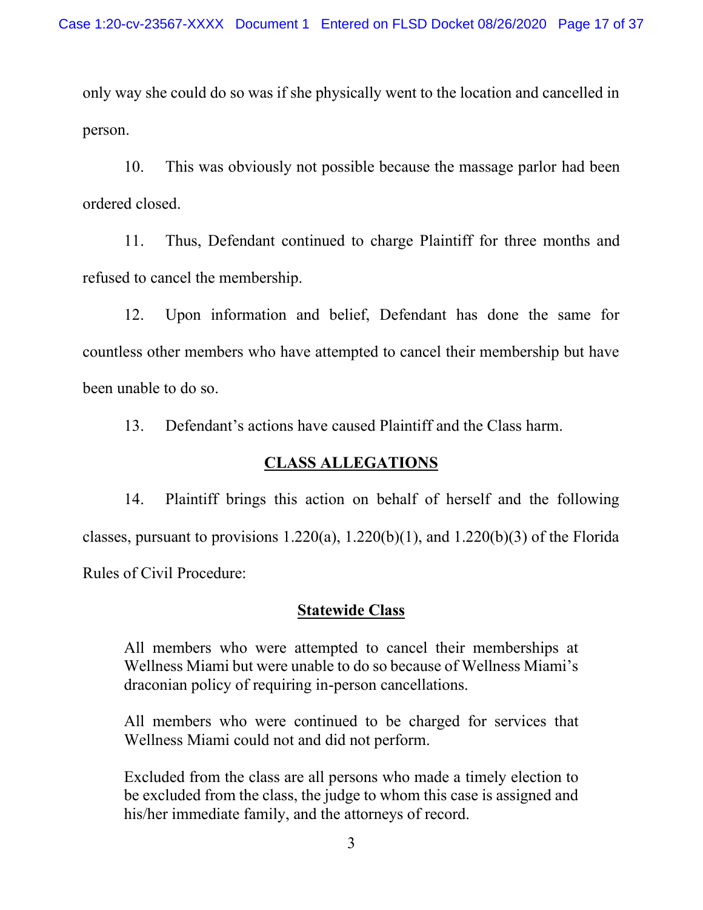only way she could do so was if she physically went to the location and cancelled in person.

10. This was obviously not possible because the massage parlor had been ordered closed.

11. Thus, Defendant continued to charge Plaintiff for three months and refused to cancel the membership.

12. Upon information and belief, Defendant has done the same for countless other members who have attempted to cancel their membership but have been unable to do so.

13. Defendant's actions have caused Plaintiff and the Class harm.

# **CLASS ALLEGATIONS**

14. Plaintiff brings this action on behalf of herself and the following classes, pursuant to provisions  $1.220(a)$ ,  $1.220(b)(1)$ , and  $1.220(b)(3)$  of the Florida Rules of Civil Procedure:

# **Statewide Class**

All members who were attempted to cancel their memberships at Wellness Miami but were unable to do so because of Wellness Miami's draconian policy of requiring in-person cancellations.

All members who were continued to be charged for services that Wellness Miami could not and did not perform.

Excluded from the class are all persons who made a timely election to be excluded from the class, the judge to whom this case is assigned and his/her immediate family, and the attorneys of record.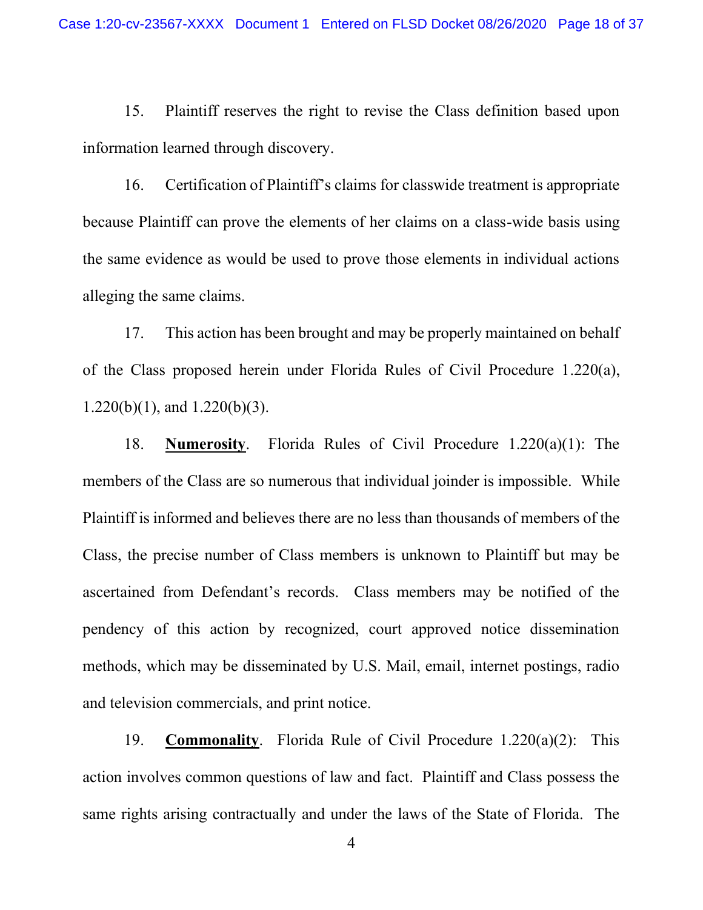15. Plaintiff reserves the right to revise the Class definition based upon information learned through discovery.

16. Certification of Plaintiff's claims for classwide treatment is appropriate because Plaintiff can prove the elements of her claims on a class-wide basis using the same evidence as would be used to prove those elements in individual actions alleging the same claims.

17. This action has been brought and may be properly maintained on behalf of the Class proposed herein under Florida Rules of Civil Procedure 1.220(a), 1.220(b)(1), and 1.220(b)(3).

18. **Numerosity**. Florida Rules of Civil Procedure 1.220(a)(1): The members of the Class are so numerous that individual joinder is impossible. While Plaintiff is informed and believes there are no less than thousands of members of the Class, the precise number of Class members is unknown to Plaintiff but may be ascertained from Defendant's records. Class members may be notified of the pendency of this action by recognized, court approved notice dissemination methods, which may be disseminated by U.S. Mail, email, internet postings, radio and television commercials, and print notice.

19. **Commonality**. Florida Rule of Civil Procedure 1.220(a)(2): This action involves common questions of law and fact. Plaintiff and Class possess the same rights arising contractually and under the laws of the State of Florida. The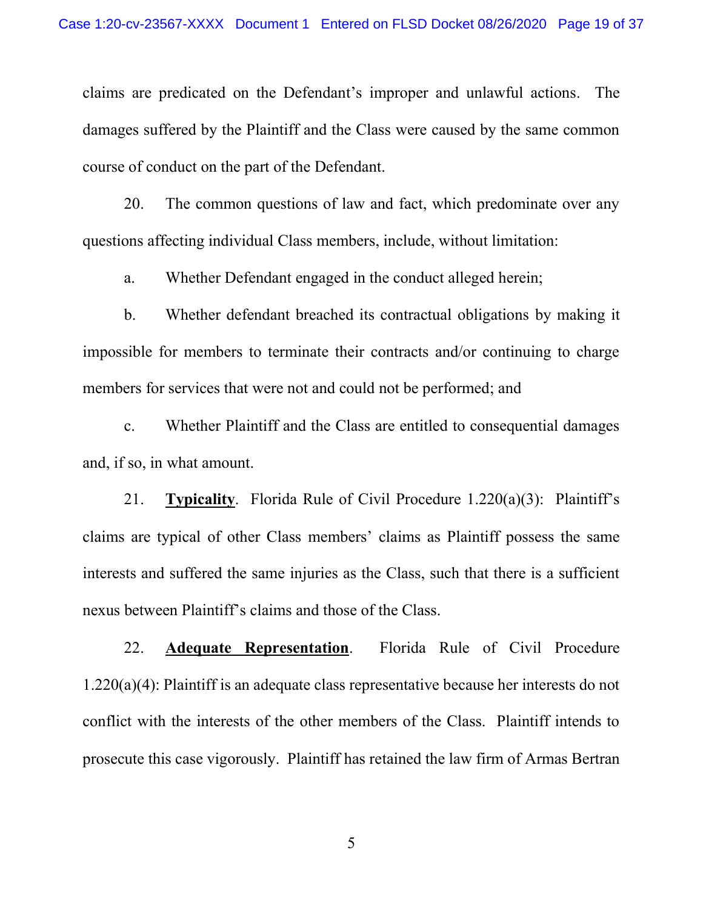claims are predicated on the Defendant's improper and unlawful actions. The damages suffered by the Plaintiff and the Class were caused by the same common course of conduct on the part of the Defendant.

20. The common questions of law and fact, which predominate over any questions affecting individual Class members, include, without limitation:

a. Whether Defendant engaged in the conduct alleged herein;

b. Whether defendant breached its contractual obligations by making it impossible for members to terminate their contracts and/or continuing to charge members for services that were not and could not be performed; and

c. Whether Plaintiff and the Class are entitled to consequential damages and, if so, in what amount.

21. **Typicality.** Florida Rule of Civil Procedure 1.220(a)(3): Plaintiff's claims are typical of other Class members' claims as Plaintiff possess the same interests and suffered the same injuries as the Class, such that there is a sufficient nexus between Plaintiff's claims and those of the Class.

22. **Adequate Representation**. Florida Rule of Civil Procedure 1.220(a)(4): Plaintiff is an adequate class representative because her interests do not conflict with the interests of the other members of the Class. Plaintiff intends to prosecute this case vigorously. Plaintiff has retained the law firm of Armas Bertran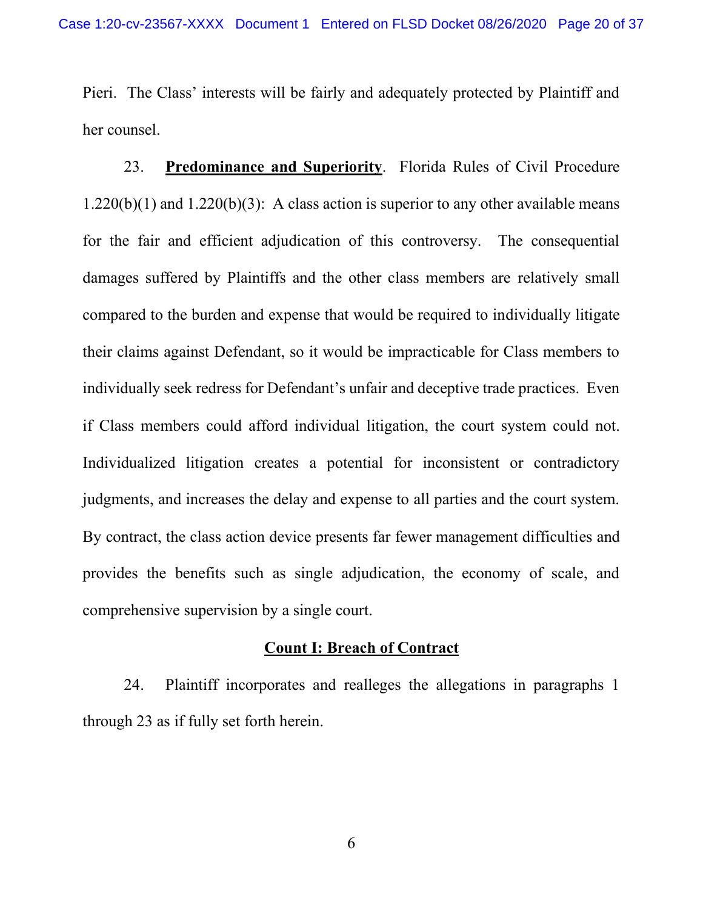Pieri. The Class' interests will be fairly and adequately protected by Plaintiff and her counsel.

23. **Predominance and Superiority**. Florida Rules of Civil Procedure 1.220(b)(1) and 1.220(b)(3): A class action is superior to any other available means for the fair and efficient adjudication of this controversy. The consequential damages suffered by Plaintiffs and the other class members are relatively small compared to the burden and expense that would be required to individually litigate their claims against Defendant, so it would be impracticable for Class members to individually seek redress for Defendant's unfair and deceptive trade practices. Even if Class members could afford individual litigation, the court system could not. Individualized litigation creates a potential for inconsistent or contradictory judgments, and increases the delay and expense to all parties and the court system. By contract, the class action device presents far fewer management difficulties and provides the benefits such as single adjudication, the economy of scale, and comprehensive supervision by a single court.

# **Count I: Breach of Contract**

24. Plaintiff incorporates and realleges the allegations in paragraphs 1 through 23 as if fully set forth herein.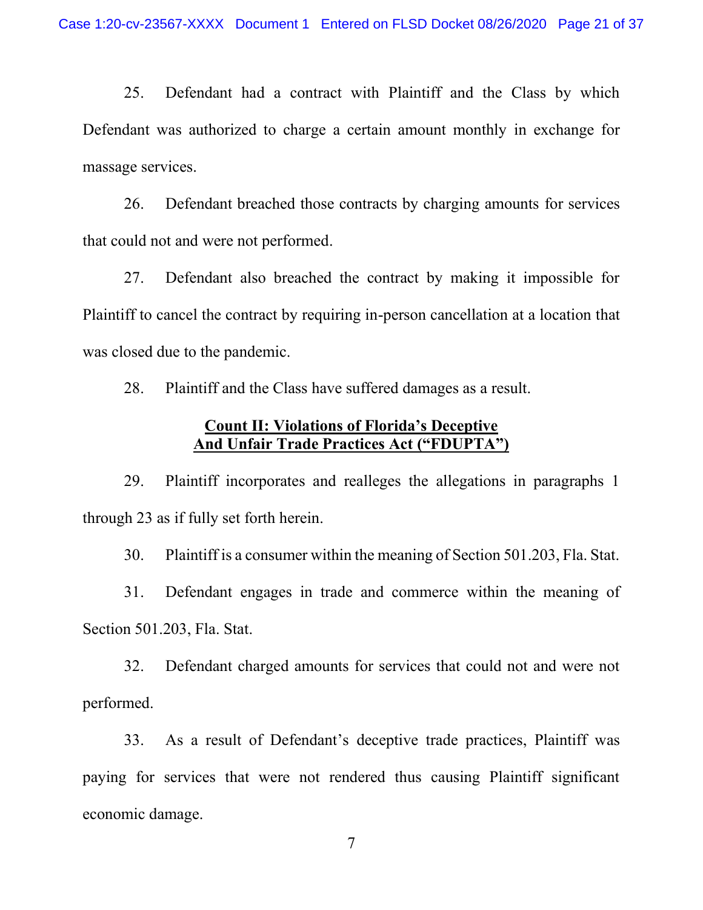25. Defendant had a contract with Plaintiff and the Class by which Defendant was authorized to charge a certain amount monthly in exchange for massage services.

26. Defendant breached those contracts by charging amounts for services that could not and were not performed.

27. Defendant also breached the contract by making it impossible for Plaintiff to cancel the contract by requiring in-person cancellation at a location that was closed due to the pandemic.

28. Plaintiff and the Class have suffered damages as a result.

# **Count II: Violations of Florida's Deceptive** And Unfair Trade Practices Act ("FDUPTA")

29. Plaintiff incorporates and realleges the allegations in paragraphs 1 through 23 as if fully set forth herein.

30. Plaintiff is a consumer within the meaning of Section 501.203, Fla. Stat.

31. Defendant engages in trade and commerce within the meaning of Section 501.203, Fla. Stat.

32. Defendant charged amounts for services that could not and were not performed.

33. As a result of Defendant's deceptive trade practices, Plaintiff was paying for services that were not rendered thus causing Plaintiff significant economic damage.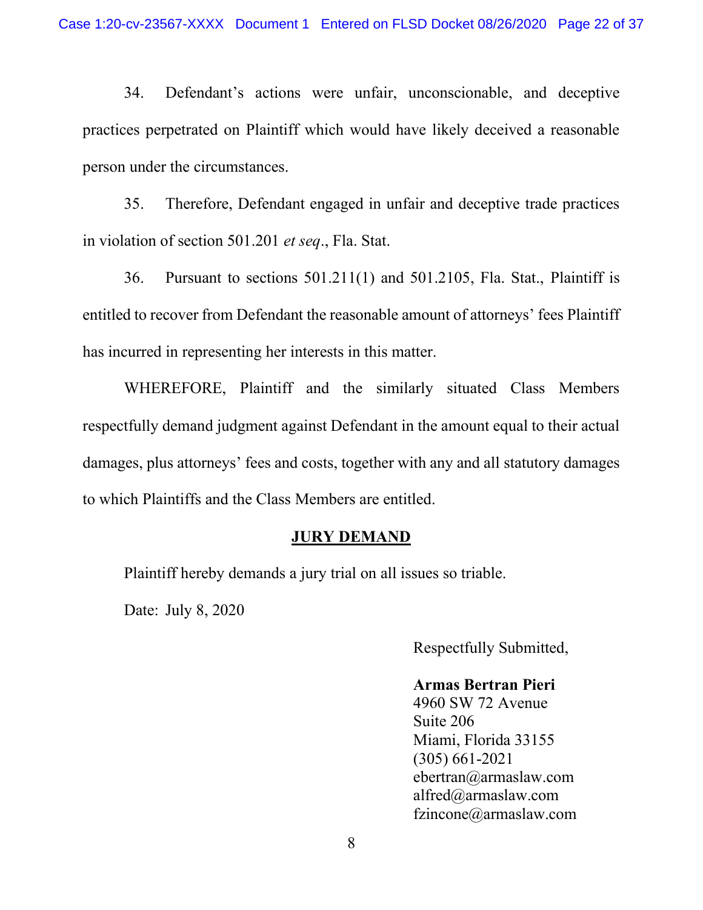34. Defendant's actions were unfair, unconscionable, and deceptive practices perpetrated on Plaintiff which would have likely deceived a reasonable person under the circumstances.

35. Therefore, Defendant engaged in unfair and deceptive trade practices in violation of section 501.201 *et seq*., Fla. Stat.

36. Pursuant to sections 501.211(1) and 501.2105, Fla. Stat., Plaintiff is entitled to recover from Defendant the reasonable amount of attorneys' fees Plaintiff has incurred in representing her interests in this matter.

WHEREFORE, Plaintiff and the similarly situated Class Members respectfully demand judgment against Defendant in the amount equal to their actual damages, plus attorneys' fees and costs, together with any and all statutory damages to which Plaintiffs and the Class Members are entitled.

## **JURY DEMAND**

Plaintiff hereby demands a jury trial on all issues so triable.

Date: July 8, 2020

Respectfully Submitted,

**Armas Bertran Pieri** 4960 SW 72 Avenue Suite 206 Miami, Florida 33155 (305) 661-2021 [ebertran@armaslaw.com](mailto:ebertran@armaslaw.com) [alfred@armaslaw.com](mailto:alfred@armaslaw.com) [fzincone@armaslaw.com](mailto:fzincone@armaslaw.com)